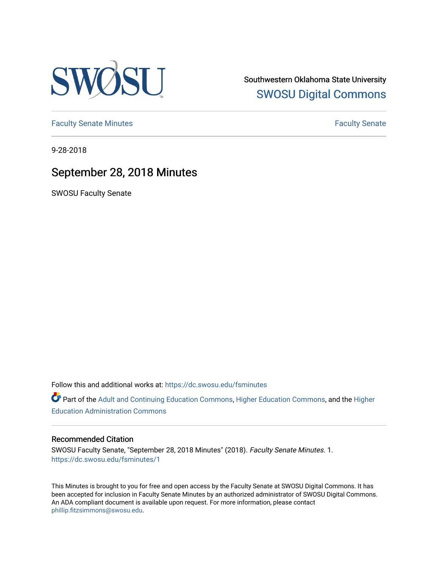

Southwestern Oklahoma State University [SWOSU Digital Commons](https://dc.swosu.edu/) 

[Faculty Senate Minutes](https://dc.swosu.edu/fsminutes) **Faculty** Senate Minutes

9-28-2018

## September 28, 2018 Minutes

SWOSU Faculty Senate

Follow this and additional works at: [https://dc.swosu.edu/fsminutes](https://dc.swosu.edu/fsminutes?utm_source=dc.swosu.edu%2Ffsminutes%2F1&utm_medium=PDF&utm_campaign=PDFCoverPages) 

Part of the [Adult and Continuing Education Commons,](http://network.bepress.com/hgg/discipline/1375?utm_source=dc.swosu.edu%2Ffsminutes%2F1&utm_medium=PDF&utm_campaign=PDFCoverPages) [Higher Education Commons,](http://network.bepress.com/hgg/discipline/1245?utm_source=dc.swosu.edu%2Ffsminutes%2F1&utm_medium=PDF&utm_campaign=PDFCoverPages) and the [Higher](http://network.bepress.com/hgg/discipline/791?utm_source=dc.swosu.edu%2Ffsminutes%2F1&utm_medium=PDF&utm_campaign=PDFCoverPages) [Education Administration Commons](http://network.bepress.com/hgg/discipline/791?utm_source=dc.swosu.edu%2Ffsminutes%2F1&utm_medium=PDF&utm_campaign=PDFCoverPages) 

#### Recommended Citation

SWOSU Faculty Senate, "September 28, 2018 Minutes" (2018). Faculty Senate Minutes. 1. [https://dc.swosu.edu/fsminutes/1](https://dc.swosu.edu/fsminutes/1?utm_source=dc.swosu.edu%2Ffsminutes%2F1&utm_medium=PDF&utm_campaign=PDFCoverPages)

This Minutes is brought to you for free and open access by the Faculty Senate at SWOSU Digital Commons. It has been accepted for inclusion in Faculty Senate Minutes by an authorized administrator of SWOSU Digital Commons. An ADA compliant document is available upon request. For more information, please contact [phillip.fitzsimmons@swosu.edu](mailto:phillip.fitzsimmons@swosu.edu).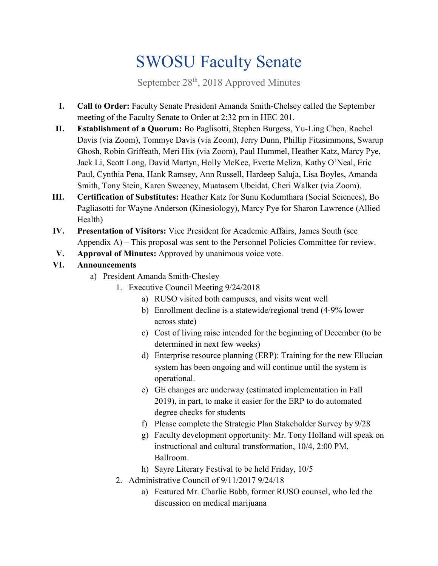# SWOSU Faculty Senate

September  $28<sup>th</sup>$ , 2018 Approved Minutes

- **I. Call to Order:** Faculty Senate President Amanda Smith-Chelsey called the September meeting of the Faculty Senate to Order at 2:32 pm in HEC 201.
- **II. Establishment of a Quorum:** Bo Paglisotti, Stephen Burgess, Yu-Ling Chen, Rachel Davis (via Zoom), Tommye Davis (via Zoom), Jerry Dunn, Phillip Fitzsimmons, Swarup Ghosh, Robin Griffeath, Meri Hix (via Zoom), Paul Hummel, Heather Katz, Marcy Pye, Jack Li, Scott Long, David Martyn, Holly McKee, Evette Meliza, Kathy O'Neal, Eric Paul, Cynthia Pena, Hank Ramsey, Ann Russell, Hardeep Saluja, Lisa Boyles, Amanda Smith, Tony Stein, Karen Sweeney, Muatasem Ubeidat, Cheri Walker (via Zoom).
- **III. Certification of Substitutes:** Heather Katz for Sunu Kodumthara (Social Sciences), Bo Pagliasotti for Wayne Anderson (Kinesiology), Marcy Pye for Sharon Lawrence (Allied Health)
- **IV. Presentation of Visitors:** Vice President for Academic Affairs, James South (see Appendix A) – This proposal was sent to the Personnel Policies Committee for review.
- **V. Approval of Minutes:** Approved by unanimous voice vote.

## **VI. Announcements**

- a) President Amanda Smith-Chesley
	- 1. Executive Council Meeting 9/24/2018
		- a) RUSO visited both campuses, and visits went well
		- b) Enrollment decline is a statewide/regional trend (4-9% lower across state)
		- c) Cost of living raise intended for the beginning of December (to be determined in next few weeks)
		- d) Enterprise resource planning (ERP): Training for the new Ellucian system has been ongoing and will continue until the system is operational.
		- e) GE changes are underway (estimated implementation in Fall 2019), in part, to make it easier for the ERP to do automated degree checks for students
		- f) Please complete the Strategic Plan Stakeholder Survey by 9/28
		- g) Faculty development opportunity: Mr. Tony Holland will speak on instructional and cultural transformation, 10/4, 2:00 PM, Ballroom.
		- h) Sayre Literary Festival to be held Friday, 10/5
	- 2. Administrative Council of 9/11/2017 9/24/18
		- a) Featured Mr. Charlie Babb, former RUSO counsel, who led the discussion on medical marijuana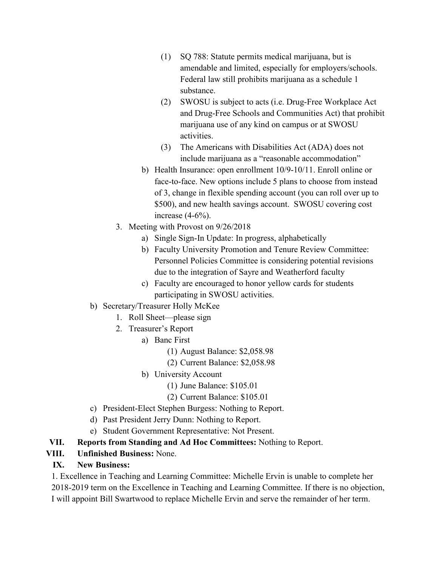- (1) SQ 788: Statute permits medical marijuana, but is amendable and limited, especially for employers/schools. Federal law still prohibits marijuana as a schedule 1 substance.
- (2) SWOSU is subject to acts (i.e. Drug-Free Workplace Act and Drug-Free Schools and Communities Act) that prohibit marijuana use of any kind on campus or at SWOSU activities.
- (3) The Americans with Disabilities Act (ADA) does not include marijuana as a "reasonable accommodation"
- b) Health Insurance: open enrollment 10/9-10/11. Enroll online or face-to-face. New options include 5 plans to choose from instead of 3, change in flexible spending account (you can roll over up to \$500), and new health savings account. SWOSU covering cost increase (4-6%).
- 3. Meeting with Provost on 9/26/2018
	- a) Single Sign-In Update: In progress, alphabetically
	- b) Faculty University Promotion and Tenure Review Committee: Personnel Policies Committee is considering potential revisions due to the integration of Sayre and Weatherford faculty
	- c) Faculty are encouraged to honor yellow cards for students participating in SWOSU activities.

## b) Secretary/Treasurer Holly McKee

- 1. Roll Sheet—please sign
- 2. Treasurer's Report
	- a) Banc First
		- (1) August Balance: \$2,058.98
		- (2) Current Balance: \$2,058.98
	- b) University Account
		- (1) June Balance: \$105.01
		- (2) Current Balance: \$105.01
- c) President-Elect Stephen Burgess: Nothing to Report.
- d) Past President Jerry Dunn: Nothing to Report.
- e) Student Government Representative: Not Present.
- **VII. Reports from Standing and Ad Hoc Committees:** Nothing to Report.

## **VIII. Unfinished Business:** None.

### **IX. New Business:**

1. Excellence in Teaching and Learning Committee: Michelle Ervin is unable to complete her 2018-2019 term on the Excellence in Teaching and Learning Committee. If there is no objection, I will appoint Bill Swartwood to replace Michelle Ervin and serve the remainder of her term.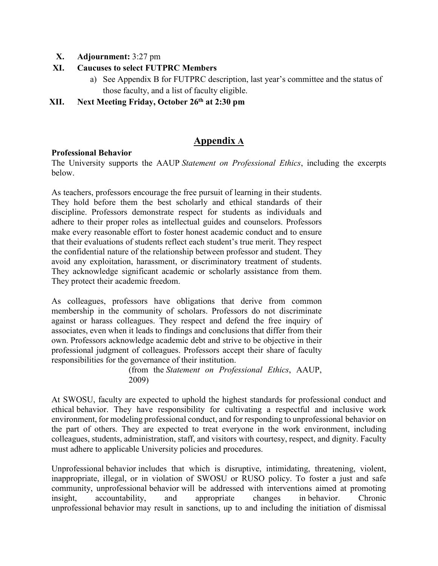- **X. Adjournment:** 3:27 pm
- **XI. Caucuses to select FUTPRC Members**
	- a) See Appendix B for FUTPRC description, last year's committee and the status of those faculty, and a list of faculty eligible.
- **XII. Next Meeting Friday, October 26th at 2:30 pm**

## **Appendix A**

#### **Professional Behavior**

The University supports the AAUP *Statement on Professional Ethics*, including the excerpts below.

As teachers, professors encourage the free pursuit of learning in their students. They hold before them the best scholarly and ethical standards of their discipline. Professors demonstrate respect for students as individuals and adhere to their proper roles as intellectual guides and counselors. Professors make every reasonable effort to foster honest academic conduct and to ensure that their evaluations of students reflect each student's true merit. They respect the confidential nature of the relationship between professor and student. They avoid any exploitation, harassment, or discriminatory treatment of students. They acknowledge significant academic or scholarly assistance from them. They protect their academic freedom.

As colleagues, professors have obligations that derive from common membership in the community of scholars. Professors do not discriminate against or harass colleagues. They respect and defend the free inquiry of associates, even when it leads to findings and conclusions that differ from their own. Professors acknowledge academic debt and strive to be objective in their professional judgment of colleagues. Professors accept their share of faculty responsibilities for the governance of their institution.

> (from the *Statement on Professional Ethics*, AAUP, 2009)

At SWOSU, faculty are expected to uphold the highest standards for professional conduct and ethical behavior. They have responsibility for cultivating a respectful and inclusive work environment, for modeling professional conduct, and for responding to unprofessional behavior on the part of others. They are expected to treat everyone in the work environment, including colleagues, students, administration, staff, and visitors with courtesy, respect, and dignity. Faculty must adhere to applicable University policies and procedures.

Unprofessional behavior includes that which is disruptive, intimidating, threatening, violent, inappropriate, illegal, or in violation of SWOSU or RUSO policy. To foster a just and safe community, unprofessional behavior will be addressed with interventions aimed at promoting insight, accountability, and appropriate changes in behavior. Chronic unprofessional behavior may result in sanctions, up to and including the initiation of dismissal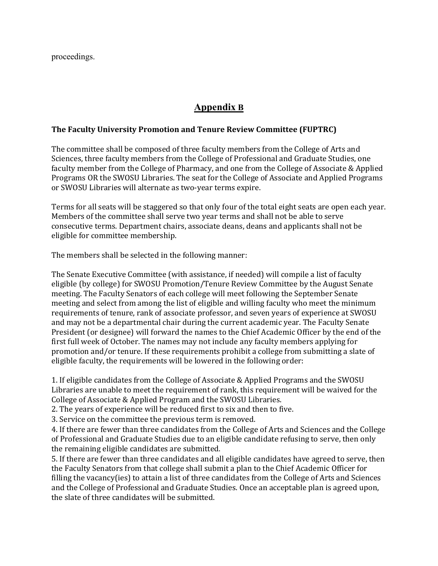proceedings.

## **Appendix B**

#### **The Faculty University Promotion and Tenure Review Committee (FUPTRC)**

The committee shall be composed of three faculty members from the College of Arts and Sciences, three faculty members from the College of Professional and Graduate Studies, one faculty member from the College of Pharmacy, and one from the College of Associate & Applied Programs OR the SWOSU Libraries. The seat for the College of Associate and Applied Programs or SWOSU Libraries will alternate as two-year terms expire.

Terms for all seats will be staggered so that only four of the total eight seats are open each year. Members of the committee shall serve two year terms and shall not be able to serve consecutive terms. Department chairs, associate deans, deans and applicants shall not be eligible for committee membership.

The members shall be selected in the following manner:

The Senate Executive Committee (with assistance, if needed) will compile a list of faculty eligible (by college) for SWOSU Promotion/Tenure Review Committee by the August Senate meeting. The Faculty Senators of each college will meet following the September Senate meeting and select from among the list of eligible and willing faculty who meet the minimum requirements of tenure, rank of associate professor, and seven years of experience at SWOSU and may not be a departmental chair during the current academic year. The Faculty Senate President (or designee) will forward the names to the Chief Academic Officer by the end of the first full week of October. The names may not include any faculty members applying for promotion and/or tenure. If these requirements prohibit a college from submitting a slate of eligible faculty, the requirements will be lowered in the following order:

1. If eligible candidates from the College of Associate & Applied Programs and the SWOSU Libraries are unable to meet the requirement of rank, this requirement will be waived for the College of Associate & Applied Program and the SWOSU Libraries.

2. The years of experience will be reduced first to six and then to five.

3. Service on the committee the previous term is removed.

4. If there are fewer than three candidates from the College of Arts and Sciences and the College of Professional and Graduate Studies due to an eligible candidate refusing to serve, then only the remaining eligible candidates are submitted.

5. If there are fewer than three candidates and all eligible candidates have agreed to serve, then the Faculty Senators from that college shall submit a plan to the Chief Academic Officer for filling the vacancy(ies) to attain a list of three candidates from the College of Arts and Sciences and the College of Professional and Graduate Studies. Once an acceptable plan is agreed upon, the slate of three candidates will be submitted.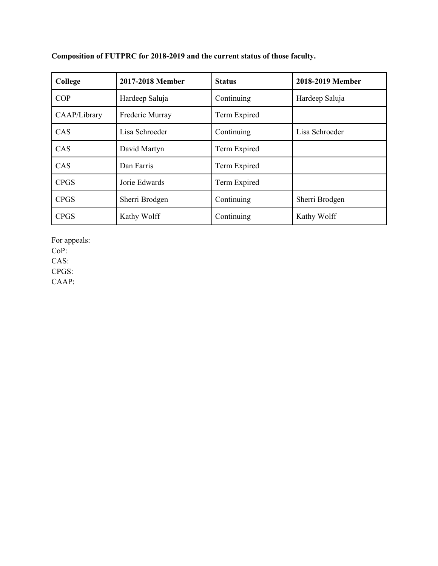| College      | 2017-2018 Member | <b>Status</b> | 2018-2019 Member |
|--------------|------------------|---------------|------------------|
| COP          | Hardeep Saluja   | Continuing    | Hardeep Saluja   |
| CAAP/Library | Frederic Murray  | Term Expired  |                  |
| CAS          | Lisa Schroeder   | Continuing    | Lisa Schroeder   |
| CAS          | David Martyn     | Term Expired  |                  |
| CAS          | Dan Farris       | Term Expired  |                  |
| <b>CPGS</b>  | Jorie Edwards    | Term Expired  |                  |
| <b>CPGS</b>  | Sherri Brodgen   | Continuing    | Sherri Brodgen   |
| <b>CPGS</b>  | Kathy Wolff      | Continuing    | Kathy Wolff      |

**Composition of FUTPRC for 2018-2019 and the current status of those faculty.**

For appeals:

CoP:

CAS:

CPGS:

CAAP: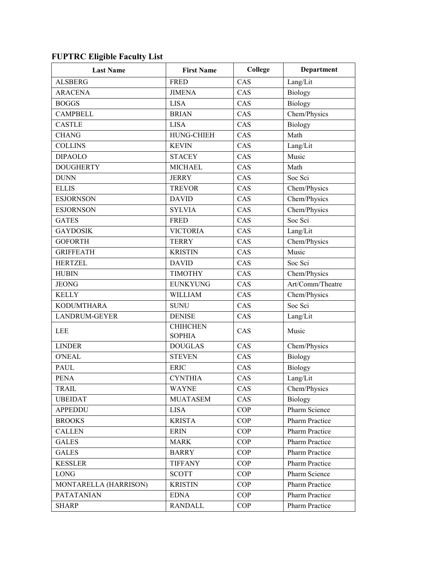## **FUPTRC Eligible Faculty List**

| <b>Last Name</b>      | <b>First Name</b>                | College    | Department            |
|-----------------------|----------------------------------|------------|-----------------------|
| <b>ALSBERG</b>        | <b>FRED</b>                      | CAS        | Lang/Lit              |
| <b>ARACENA</b>        | <b>JIMENA</b>                    | CAS        | Biology               |
| <b>BOGGS</b>          | <b>LISA</b>                      | CAS        | Biology               |
| <b>CAMPBELL</b>       | <b>BRIAN</b>                     | CAS        | Chem/Physics          |
| <b>CASTLE</b>         | <b>LISA</b>                      | CAS        | Biology               |
| <b>CHANG</b>          | HUNG-CHIEH                       | CAS        | Math                  |
| <b>COLLINS</b>        | <b>KEVIN</b>                     | CAS        | Lang/Lit              |
| <b>DIPAOLO</b>        | <b>STACEY</b>                    | CAS        | Music                 |
| <b>DOUGHERTY</b>      | <b>MICHAEL</b>                   | CAS        | Math                  |
| <b>DUNN</b>           | <b>JERRY</b>                     | CAS        | Soc Sci               |
| <b>ELLIS</b>          | <b>TREVOR</b>                    | CAS        | Chem/Physics          |
| <b>ESJORNSON</b>      | <b>DAVID</b>                     | CAS        | Chem/Physics          |
| <b>ESJORNSON</b>      | <b>SYLVIA</b>                    | CAS        | Chem/Physics          |
| <b>GATES</b>          | <b>FRED</b>                      | CAS        | Soc Sci               |
| <b>GAYDOSIK</b>       | <b>VICTORIA</b>                  | CAS        | Lang/Lit              |
| <b>GOFORTH</b>        | <b>TERRY</b>                     | CAS        | Chem/Physics          |
| <b>GRIFFEATH</b>      | <b>KRISTIN</b>                   | CAS        | Music                 |
| <b>HERTZEL</b>        | <b>DAVID</b>                     | CAS        | Soc Sci               |
| <b>HUBIN</b>          | <b>TIMOTHY</b>                   | CAS        | Chem/Physics          |
| <b>JEONG</b>          | <b>EUNKYUNG</b>                  | CAS        | Art/Comm/Theatre      |
| <b>KELLY</b>          | <b>WILLIAM</b>                   | CAS        | Chem/Physics          |
| <b>KODUMTHARA</b>     | <b>SUNU</b>                      | CAS        | Soc Sci               |
| <b>LANDRUM-GEYER</b>  | <b>DENISE</b>                    | CAS        | Lang/Lit              |
| <b>LEE</b>            | <b>CHIHCHEN</b><br><b>SOPHIA</b> | CAS        | Music                 |
| <b>LINDER</b>         | <b>DOUGLAS</b>                   | CAS        | Chem/Physics          |
| <b>O'NEAL</b>         | <b>STEVEN</b>                    | CAS        | <b>Biology</b>        |
| <b>PAUL</b>           | <b>ERIC</b>                      | CAS        | Biology               |
| <b>PENA</b>           | <b>CYNTHIA</b>                   | CAS        | Lang/Lit              |
| <b>TRAIL</b>          | <b>WAYNE</b>                     | CAS        | Chem/Physics          |
| <b>UBEIDAT</b>        | <b>MUATASEM</b>                  | CAS        | Biology               |
| <b>APPEDDU</b>        | <b>LISA</b>                      | <b>COP</b> | Pharm Science         |
| <b>BROOKS</b>         | <b>KRISTA</b>                    | COP        | <b>Pharm Practice</b> |
| <b>CALLEN</b>         | <b>ERIN</b>                      | <b>COP</b> | <b>Pharm Practice</b> |
| <b>GALES</b>          | <b>MARK</b>                      | COP        | <b>Pharm Practice</b> |
| <b>GALES</b>          | <b>BARRY</b>                     | <b>COP</b> | <b>Pharm Practice</b> |
| <b>KESSLER</b>        | <b>TIFFANY</b>                   | COP        | <b>Pharm Practice</b> |
| <b>LONG</b>           | <b>SCOTT</b>                     | <b>COP</b> | Pharm Science         |
| MONTARELLA (HARRISON) | <b>KRISTIN</b>                   | COP        | Pharm Practice        |
| <b>PATATANIAN</b>     | <b>EDNA</b>                      | COP        | Pharm Practice        |
| <b>SHARP</b>          | <b>RANDALL</b>                   | COP        | <b>Pharm Practice</b> |